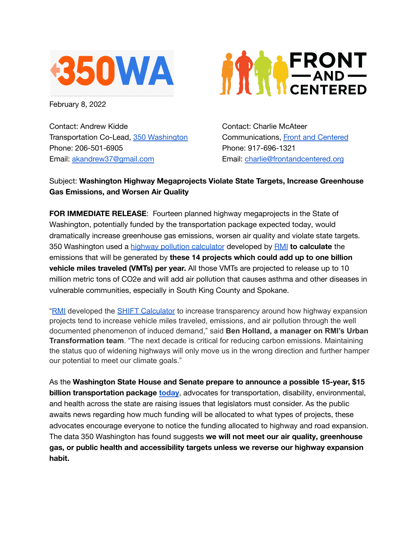

February 8, 2022

Contact: Andrew Kidde Transportation Co-Lead, 350 [Washington](https://www.350wa.org/our-groups) Phone: 206-501-6905 Email: [akandrew37@gmail.com](mailto:akandrew37@gmail.com)



Contact: Charlie McAteer Communications, Front and [Centered](https://frontandcentered.org) Phone: 917-696-1321 Email: [charlie@frontandcentered.org](mailto:charlie@frontandcentered.org)

## Subject: **Washington Highway Megaprojects Violate State Targets, Increase Greenhouse Gas Emissions, and Worsen Air Quality**

**FOR IMMEDIATE RELEASE**: Fourteen planned highway megaprojects in the State of Washington, potentially funded by the transportation package expected today, would dramatically increase greenhouse gas emissions, worsen air quality and violate state targets. 350 Washington used a highway pollution [calculator](https://shift.rmi.org) developed by [RMI](https://rmi.org) **to calculate** the emissions that will be generated by **these 14 projects which could add up to one billion vehicle miles traveled (VMTs) per year.** All those VMTs are projected to release up to 10 million metric tons of CO2e and will add air pollution that causes asthma and other diseases in vulnerable communities, especially in South King County and Spokane.

"[RMI](https://rmi.org/) developed the SHIFT [Calculator](https://shift.rmi.org/) to increase transparency around how highway expansion projects tend to increase vehicle miles traveled, emissions, and air pollution through the well documented phenomenon of induced demand," said **Ben Holland, a manager on RMI's Urban Transformation team**. "The next decade is critical for reducing carbon emissions. Maintaining the status quo of widening highways will only move us in the wrong direction and further hamper our potential to meet our climate goals."

As the **Washington State House and Senate prepare to announce a possible 15-year, \$15 billion transportation package [today](https://twitter.com/dospueblos/status/1490722063098646528)**, advocates for transportation, disability, environmental, and health across the state are raising issues that legislators must consider. As the public awaits news regarding how much funding will be allocated to what types of projects, these advocates encourage everyone to notice the funding allocated to highway and road expansion. The data 350 Washington has found suggests **we will not meet our air quality, greenhouse gas, or public health and accessibility targets unless we reverse our highway expansion habit.**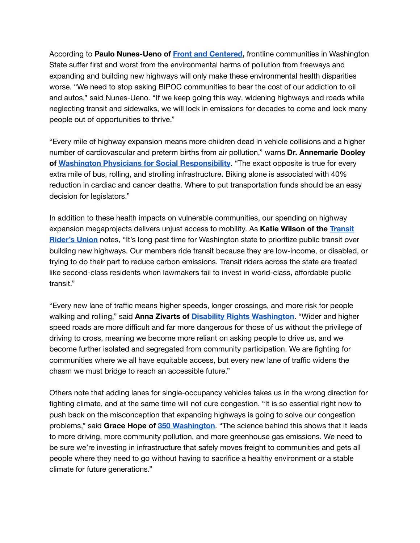According to **Paulo Nunes-Ueno of Front and [Centered,](https://frontandcentered.org)** frontline communities in Washington State suffer first and worst from the environmental harms of pollution from freeways and expanding and building new highways will only make these environmental health disparities worse. "We need to stop asking BIPOC communities to bear the cost of our addiction to oil and autos," said Nunes-Ueno. "If we keep going this way, widening highways and roads while neglecting transit and sidewalks, we will lock in emissions for decades to come and lock many people out of opportunities to thrive."

"Every mile of highway expansion means more children dead in vehicle collisions and a higher number of cardiovascular and preterm births from air pollution," warns **Dr. Annemarie Dooley of Washington Physicians for Social [Responsibility](https://www.wpsr.org)**. "The exact opposite is true for every extra mile of bus, rolling, and strolling infrastructure. Biking alone is associated with 40% reduction in cardiac and cancer deaths. Where to put transportation funds should be an easy decision for legislators."

In addition to these health impacts on vulnerable communities, our spending on highway expansion megaprojects delivers unjust access to mobility. As **Katie Wilson of the [Transit](https://transitriders.org) [Rider's](https://transitriders.org) Union** notes, "It's long past time for Washington state to prioritize public transit over building new highways. Our members ride transit because they are low-income, or disabled, or trying to do their part to reduce carbon emissions. Transit riders across the state are treated like second-class residents when lawmakers fail to invest in world-class, affordable public transit."

"Every new lane of traffic means higher speeds, longer crossings, and more risk for people walking and rolling," said **Anna Zivarts of Disability Rights [Washington](https://www.disabilityrightswa.org)**. "Wider and higher speed roads are more difficult and far more dangerous for those of us without the privilege of driving to cross, meaning we become more reliant on asking people to drive us, and we become further isolated and segregated from community participation. We are fighting for communities where we all have equitable access, but every new lane of traffic widens the chasm we must bridge to reach an accessible future."

Others note that adding lanes for single-occupancy vehicles takes us in the wrong direction for fighting climate, and at the same time will not cure congestion. "It is so essential right now to push back on the misconception that expanding highways is going to solve our congestion problems," said **Grace Hope of 350 [Washington](https://www.350wa.org/our-groups)**. "The science behind this shows that it leads to more driving, more community pollution, and more greenhouse gas emissions. We need to be sure we're investing in infrastructure that safely moves freight to communities and gets all people where they need to go without having to sacrifice a healthy environment or a stable climate for future generations."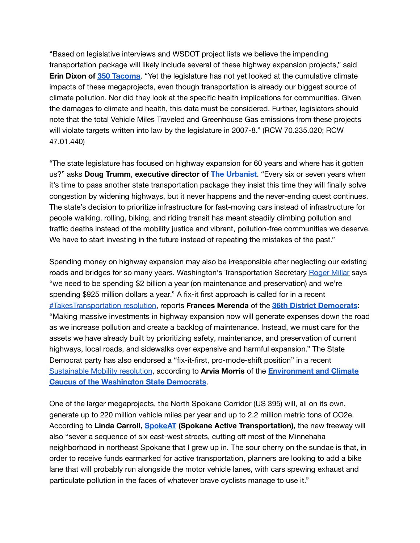"Based on legislative interviews and WSDOT project lists we believe the impending transportation package will likely include several of these highway expansion projects," said **Erin Dixon of 350 [Tacoma](https://www.350tacoma.org)**. "Yet the legislature has not yet looked at the cumulative climate impacts of these megaprojects, even though transportation is already our biggest source of climate pollution. Nor did they look at the specific health implications for communities. Given the damages to climate and health, this data must be considered. Further, legislators should note that the total Vehicle Miles Traveled and Greenhouse Gas emissions from these projects will violate targets written into law by the legislature in 2007-8." (RCW 70.235.020; RCW 47.01.440)

"The state legislature has focused on highway expansion for 60 years and where has it gotten us?" asks **Doug Trumm**, **executive director of The [Urbanist](https://www.theurbanist.org/)**. "Every six or seven years when it's time to pass another state transportation package they insist this time they will finally solve congestion by widening highways, but it never happens and the never-ending quest continues. The state's decision to prioritize infrastructure for fast-moving cars instead of infrastructure for people walking, rolling, biking, and riding transit has meant steadily climbing pollution and traffic deaths instead of the mobility justice and vibrant, pollution-free communities we deserve. We have to start investing in the future instead of repeating the mistakes of the past."

Spending money on highway expansion may also be irresponsible after neglecting our existing roads and bridges for so many years. Washington's Transportation Secretary [Roger](https://www.seattletimes.com/opinion/editorials/prioritize-fixing-i-5s-ailing-ship-canal-bridge/) Millar says "we need to be spending \$2 billion a year (on maintenance and preservation) and we're spending \$925 million dollars a year." A fix-it first approach is called for in a recent [#TakesTransportation](https://docs.google.com/document/d/1Mvllf1BVtOMs75uN6-VpFaxQfFoT54_K-qoFy2v4Ftc/edit) resolution, reports **Frances Merenda** of the **36th District [Democrats](http://36th.org/?doing_wp_cron=1644197098.3174569606781005859375)**: "Making massive investments in highway expansion now will generate expenses down the road as we increase pollution and create a backlog of maintenance. Instead, we must care for the assets we have already built by prioritizing safety, maintenance, and preservation of current highways, local roads, and sidewalks over expensive and harmful expansion." The State Democrat party has also endorsed a "fix-it-first, pro-mode-shift position" in a recent [Sustainable](https://www.wa-democrats.org/wp-content/uploads/2021/10/Resolution-983-PASSED-Funding-for-Sustainable-Mobility.pdf) Mobility resolution, according to **Arvia Morris** of the **[Environment](https://eccwa.org/wp/) and Climate Caucus of the [Washington](https://eccwa.org/wp/) State Democrats**.

One of the larger megaprojects, the North Spokane Corridor (US 395) will, all on its own, generate up to 220 million vehicle miles per year and up to 2.2 million metric tons of CO2e. According to **Linda Carroll, [SpokeAT](https://www.spokat.org) (Spokane Active Transportation),** the new freeway will also "sever a sequence of six east-west streets, cutting off most of the Minnehaha neighborhood in northeast Spokane that I grew up in. The sour cherry on the sundae is that, in order to receive funds earmarked for active transportation, planners are looking to add a bike lane that will probably run alongside the motor vehicle lanes, with cars spewing exhaust and particulate pollution in the faces of whatever brave cyclists manage to use it."